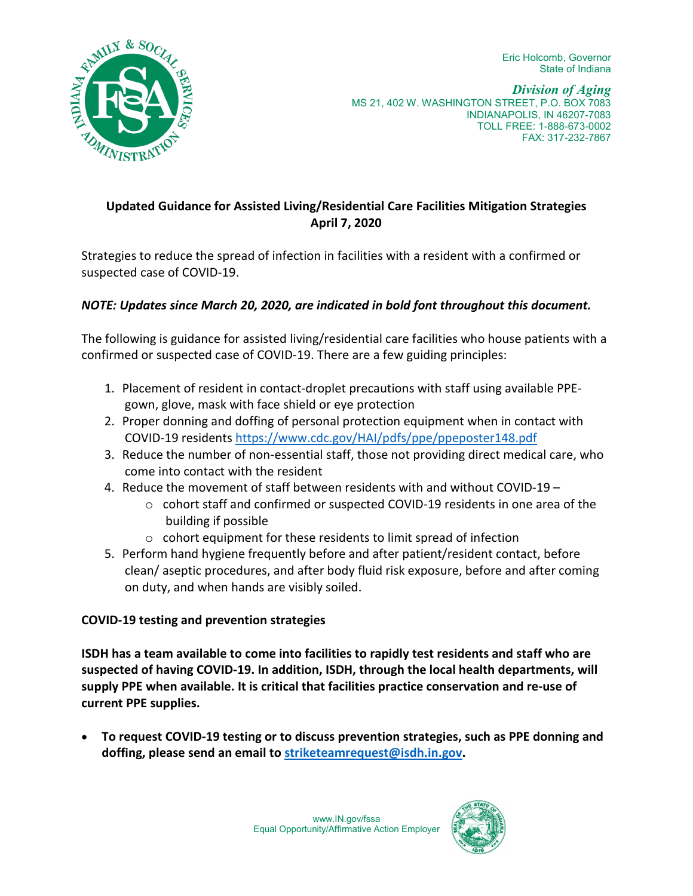Eric Holcomb, Governor State of Indiana



# **Updated Guidance for Assisted Living/Residential Care Facilities Mitigation Strategies April 7, 2020**

Strategies to reduce the spread of infection in facilities with a resident with a confirmed or suspected case of COVID-19.

## *NOTE: Updates since March 20, 2020, are indicated in bold font throughout this document.*

The following is guidance for assisted living/residential care facilities who house patients with a confirmed or suspected case of COVID-19. There are a few guiding principles:

- 1. Placement of resident in contact-droplet precautions with staff using available PPEgown, glove, mask with face shield or eye protection
- 2. Proper donning and doffing of personal protection equipment when in contact with COVID-19 residents<https://www.cdc.gov/HAI/pdfs/ppe/ppeposter148.pdf>
- 3. Reduce the number of non-essential staff, those not providing direct medical care, who come into contact with the resident
- 4. Reduce the movement of staff between residents with and without COVID-19
	- $\circ$  cohort staff and confirmed or suspected COVID-19 residents in one area of the building if possible
	- o cohort equipment for these residents to limit spread of infection
- 5. Perform hand hygiene frequently before and after patient/resident contact, before clean/ aseptic procedures, and after body fluid risk exposure, before and after coming on duty, and when hands are visibly soiled.

#### **COVID-19 testing and prevention strategies**

**ISDH has a team available to come into facilities to rapidly test residents and staff who are suspected of having COVID-19. In addition, ISDH, through the local health departments, will supply PPE when available. It is critical that facilities practice conservation and re-use of current PPE supplies.** 

• **To request COVID-19 testing or to discuss prevention strategies, such as PPE donning and doffing, please send an email to [striketeamrequest@isdh.in.gov.](mailto:striketeamrequest@isdh.in.gov)** 

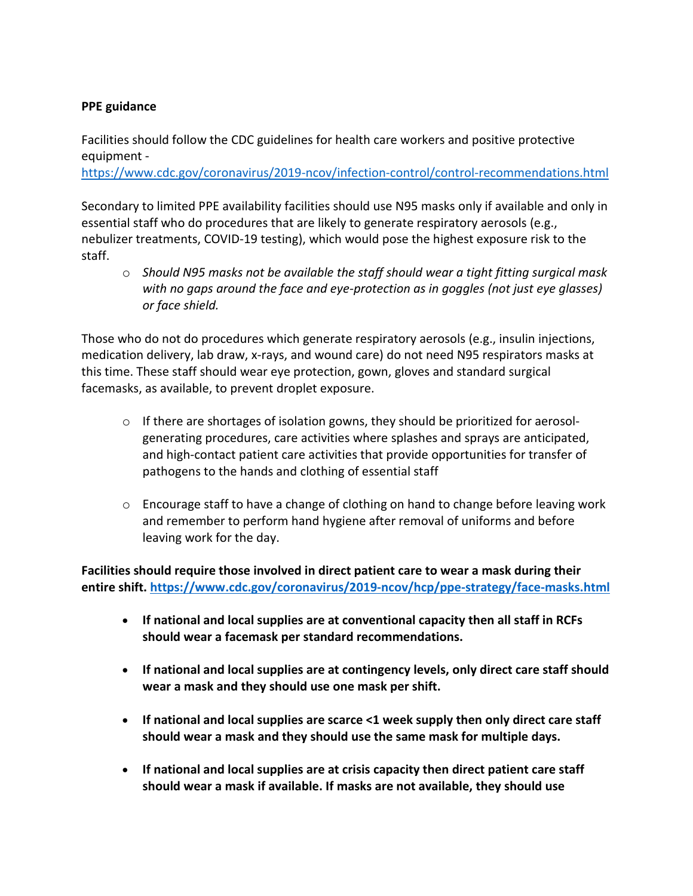#### **PPE guidance**

Facilities should follow the CDC guidelines for health care workers and positive protective equipment -

<https://www.cdc.gov/coronavirus/2019-ncov/infection-control/control-recommendations.html>

Secondary to limited PPE availability facilities should use N95 masks only if available and only in essential staff who do procedures that are likely to generate respiratory aerosols (e.g., nebulizer treatments, COVID-19 testing), which would pose the highest exposure risk to the staff.

o *Should N95 masks not be available the staff should wear a tight fitting surgical mask with no gaps around the face and eye-protection as in goggles (not just eye glasses) or face shield.* 

Those who do not do procedures which generate respiratory aerosols (e.g., insulin injections, medication delivery, lab draw, x-rays, and wound care) do not need N95 respirators masks at this time. These staff should wear eye protection, gown, gloves and standard surgical facemasks, as available, to prevent droplet exposure.

- $\circ$  If there are shortages of isolation gowns, they should be prioritized for aerosolgenerating procedures, care activities where splashes and sprays are anticipated, and high-contact patient care activities that provide opportunities for transfer of pathogens to the hands and clothing of essential staff
- $\circ$  Encourage staff to have a change of clothing on hand to change before leaving work and remember to perform hand hygiene after removal of uniforms and before leaving work for the day.

**Facilities should require those involved in direct patient care to wear a mask during their entire shift[. https://www.cdc.gov/coronavirus/2019-ncov/hcp/ppe-strategy/face-masks.html](https://www.cdc.gov/coronavirus/2019-ncov/hcp/ppe-strategy/face-masks.html)**

- **If national and local supplies are at conventional capacity then all staff in RCFs should wear a facemask per standard recommendations.**
- **If national and local supplies are at contingency levels, only direct care staff should wear a mask and they should use one mask per shift.**
- **If national and local supplies are scarce <1 week supply then only direct care staff should wear a mask and they should use the same mask for multiple days.**
- **If national and local supplies are at crisis capacity then direct patient care staff should wear a mask if available. If masks are not available, they should use**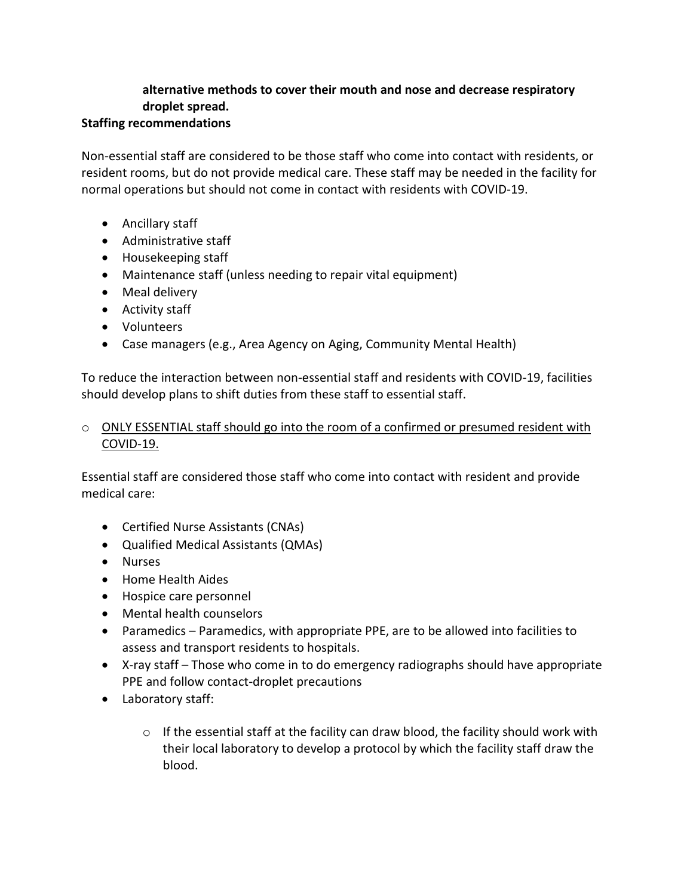# **alternative methods to cover their mouth and nose and decrease respiratory droplet spread.**

#### **Staffing recommendations**

Non-essential staff are considered to be those staff who come into contact with residents, or resident rooms, but do not provide medical care. These staff may be needed in the facility for normal operations but should not come in contact with residents with COVID-19.

- Ancillary staff
- Administrative staff
- Housekeeping staff
- Maintenance staff (unless needing to repair vital equipment)
- Meal delivery
- Activity staff
- Volunteers
- Case managers (e.g., Area Agency on Aging, Community Mental Health)

To reduce the interaction between non-essential staff and residents with COVID-19, facilities should develop plans to shift duties from these staff to essential staff.

#### $\circ$  ONLY ESSENTIAL staff should go into the room of a confirmed or presumed resident with COVID-19.

Essential staff are considered those staff who come into contact with resident and provide medical care:

- Certified Nurse Assistants (CNAs)
- Qualified Medical Assistants (QMAs)
- Nurses
- Home Health Aides
- Hospice care personnel
- Mental health counselors
- Paramedics Paramedics, with appropriate PPE, are to be allowed into facilities to assess and transport residents to hospitals.
- X-ray staff Those who come in to do emergency radiographs should have appropriate PPE and follow contact-droplet precautions
- Laboratory staff:
	- $\circ$  If the essential staff at the facility can draw blood, the facility should work with their local laboratory to develop a protocol by which the facility staff draw the blood.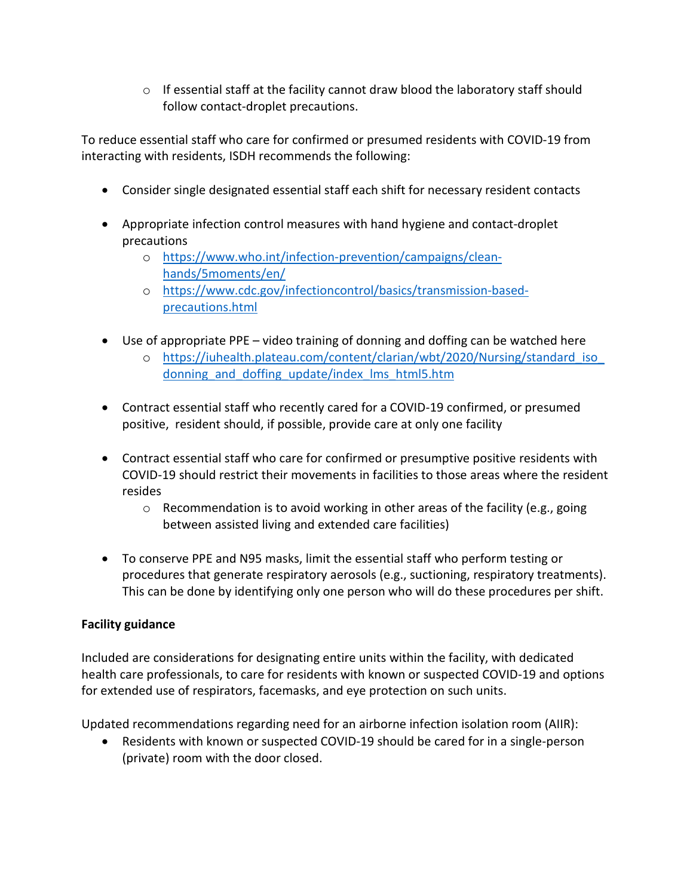$\circ$  If essential staff at the facility cannot draw blood the laboratory staff should follow contact-droplet precautions.

To reduce essential staff who care for confirmed or presumed residents with COVID-19 from interacting with residents, ISDH recommends the following:

- Consider single designated essential staff each shift for necessary resident contacts
- Appropriate infection control measures with hand hygiene and contact-droplet precautions
	- o [https://www.who.int/infection-prevention/campaigns/clean](https://www.who.int/infection-prevention/campaigns/clean-hands/5moments/en/)[hands/5moments/en/](https://www.who.int/infection-prevention/campaigns/clean-hands/5moments/en/)
	- o [https://www.cdc.gov/infectioncontrol/basics/transmission-based](https://www.cdc.gov/infectioncontrol/basics/transmission-based-precautions.html)[precautions.html](https://www.cdc.gov/infectioncontrol/basics/transmission-based-precautions.html)
- Use of appropriate PPE video training of donning and doffing can be watched here
	- o [https://iuhealth.plateau.com/content/clarian/wbt/2020/Nursing/standard\\_iso\\_](https://iuhealth.plateau.com/content/clarian/wbt/2020/Nursing/standard_iso_donning_and_doffing_update/index_lms_html5.htm) donning and doffing update/index lms html5.htm
- Contract essential staff who recently cared for a COVID-19 confirmed, or presumed positive, resident should, if possible, provide care at only one facility
- Contract essential staff who care for confirmed or presumptive positive residents with COVID-19 should restrict their movements in facilities to those areas where the resident resides
	- $\circ$  Recommendation is to avoid working in other areas of the facility (e.g., going between assisted living and extended care facilities)
- To conserve PPE and N95 masks, limit the essential staff who perform testing or procedures that generate respiratory aerosols (e.g., suctioning, respiratory treatments). This can be done by identifying only one person who will do these procedures per shift.

# **Facility guidance**

Included are considerations for designating entire units within the facility, with dedicated health care professionals, to care for residents with known or suspected COVID-19 and options for extended use of respirators, facemasks, and eye protection on such units.

Updated recommendations regarding need for an airborne infection isolation room (AIIR):

• Residents with known or suspected COVID-19 should be cared for in a single-person (private) room with the door closed.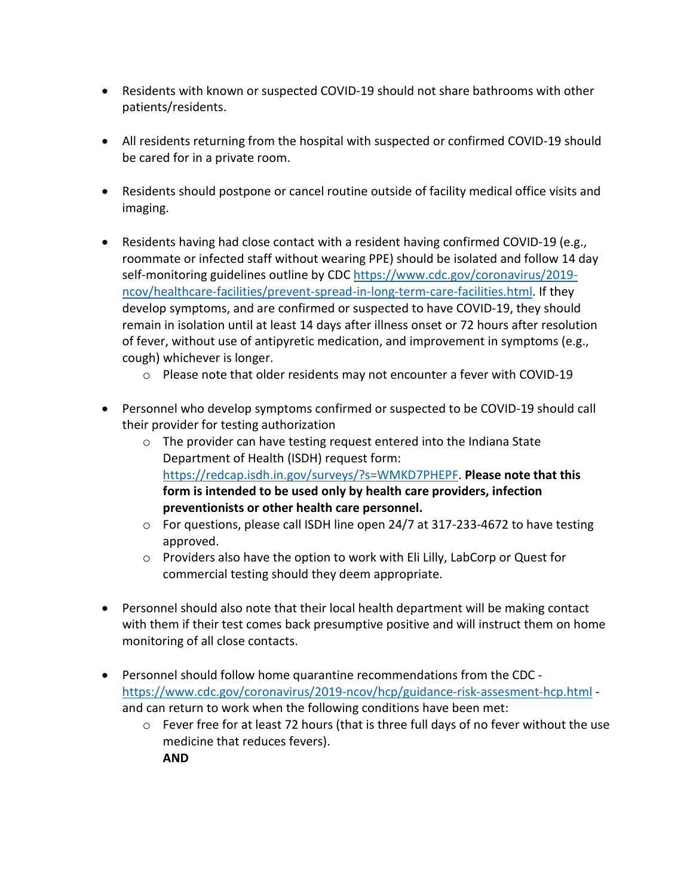- Residents with known or suspected COVID-19 should not share bathrooms with other patients/residents.
- All residents returning from the hospital with suspected or confirmed COVID-19 should be cared for in a private room.
- Residents should postpone or cancel routine outside of facility medical office visits and imaging.
- Residents having had close contact with a resident having confirmed COVID-19 (e.g., roommate or infected staff without wearing PPE) should be isolated and follow 14 day self-monitoring guidelines outline by CDC [https://www.cdc.gov/coronavirus/2019](https://www.cdc.gov/coronavirus/2019-ncov/healthcare-facilities/prevent-spread-in-long-term-care-facilities.html) [ncov/healthcare-facilities/prevent-spread-in-long-term-care-facilities.html.](https://www.cdc.gov/coronavirus/2019-ncov/healthcare-facilities/prevent-spread-in-long-term-care-facilities.html) If they develop symptoms, and are confirmed or suspected to have COVID-19, they should remain in isolation until at least 14 days after illness onset or 72 hours after resolution of fever, without use of antipyretic medication, and improvement in symptoms (e.g., cough) whichever is longer.
	- $\circ$  Please note that older residents may not encounter a fever with COVID-19
- Personnel who develop symptoms confirmed or suspected to be COVID-19 should call their provider for testing authorization
	- o The provider can have testing request entered into the Indiana State Department of Health (ISDH) request form: [https://redcap.isdh.in.gov/surveys/?s=WMKD7PHEPF.](https://redcap.isdh.in.gov/surveys/?s=WMKD7PHEPF) **Please note that this form is intended to be used only by health care providers, infection preventionists or other health care personnel.**
	- o For questions, please call ISDH line open 24/7 at 317-233-4672 to have testing approved.
	- o Providers also have the option to work with Eli Lilly, LabCorp or Quest for commercial testing should they deem appropriate.
- Personnel should also note that their local health department will be making contact with them if their test comes back presumptive positive and will instruct them on home monitoring of all close contacts.
- Personnel should follow home quarantine recommendations from the CDC <https://www.cdc.gov/coronavirus/2019-ncov/hcp/guidance-risk-assesment-hcp.html> and can return to work when the following conditions have been met:
	- $\circ$  Fever free for at least 72 hours (that is three full days of no fever without the use medicine that reduces fevers).

**AND**